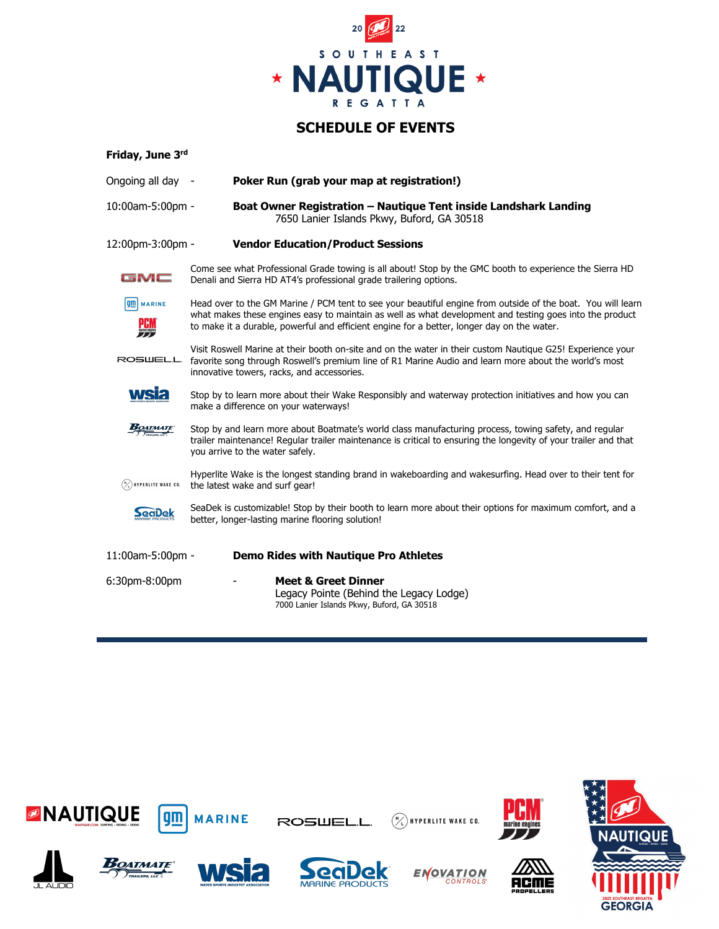

## **SCHEDULE OF EVENTS**

| Friday, June 3rd                        |                                                                                                                                                                                                                                                                                                                      |  |  |
|-----------------------------------------|----------------------------------------------------------------------------------------------------------------------------------------------------------------------------------------------------------------------------------------------------------------------------------------------------------------------|--|--|
| Ongoing all day -                       | Poker Run (grab your map at registration!)                                                                                                                                                                                                                                                                           |  |  |
| 10:00am-5:00pm -                        | Boat Owner Registration - Nautique Tent inside Landshark Landing<br>7650 Lanier Islands Pkwy, Buford, GA 30518                                                                                                                                                                                                       |  |  |
| 12:00pm-3:00pm -                        | <b>Vendor Education/Product Sessions</b>                                                                                                                                                                                                                                                                             |  |  |
| GMC                                     | Come see what Professional Grade towing is all about! Stop by the GMC booth to experience the Sierra HD<br>Denali and Sierra HD AT4's professional grade trailering options.                                                                                                                                         |  |  |
| <b>gm</b> MARINE<br>哪                   | Head over to the GM Marine / PCM tent to see your beautiful engine from outside of the boat. You will learn<br>what makes these engines easy to maintain as well as what development and testing goes into the product<br>to make it a durable, powerful and efficient engine for a better, longer day on the water. |  |  |
| ROSWELL                                 | Visit Roswell Marine at their booth on-site and on the water in their custom Nautique G25! Experience your<br>favorite song through Roswell's premium line of R1 Marine Audio and learn more about the world's most<br>innovative towers, racks, and accessories.                                                    |  |  |
| <b>wsia</b>                             | Stop by to learn more about their Wake Responsibly and waterway protection initiatives and how you can<br>make a difference on your waterways!                                                                                                                                                                       |  |  |
| <b>BOATMATE</b>                         | Stop by and learn more about Boatmate's world class manufacturing process, towing safety, and regular<br>trailer maintenance! Regular trailer maintenance is critical to ensuring the longevity of your trailer and that<br>you arrive to the water safely.                                                          |  |  |
| $(\frac{\mu}{\ell})$ hyperlite wake CO. | Hyperlite Wake is the longest standing brand in wakeboarding and wakesurfing. Head over to their tent for<br>the latest wake and surf gear!                                                                                                                                                                          |  |  |
| SeaDek                                  | SeaDek is customizable! Stop by their booth to learn more about their options for maximum comfort, and a<br>better, longer-lasting marine flooring solution!                                                                                                                                                         |  |  |
| 11:00am-5:00pm -                        | <b>Demo Rides with Nautique Pro Athletes</b>                                                                                                                                                                                                                                                                         |  |  |
| 6:30pm-8:00pm                           | <b>Meet &amp; Greet Dinner</b><br>Legacy Pointe (Behind the Legacy Lodge)<br>7000 Lanier Islands Pkwy, Buford, GA 30518                                                                                                                                                                                              |  |  |



**GEORGIA**